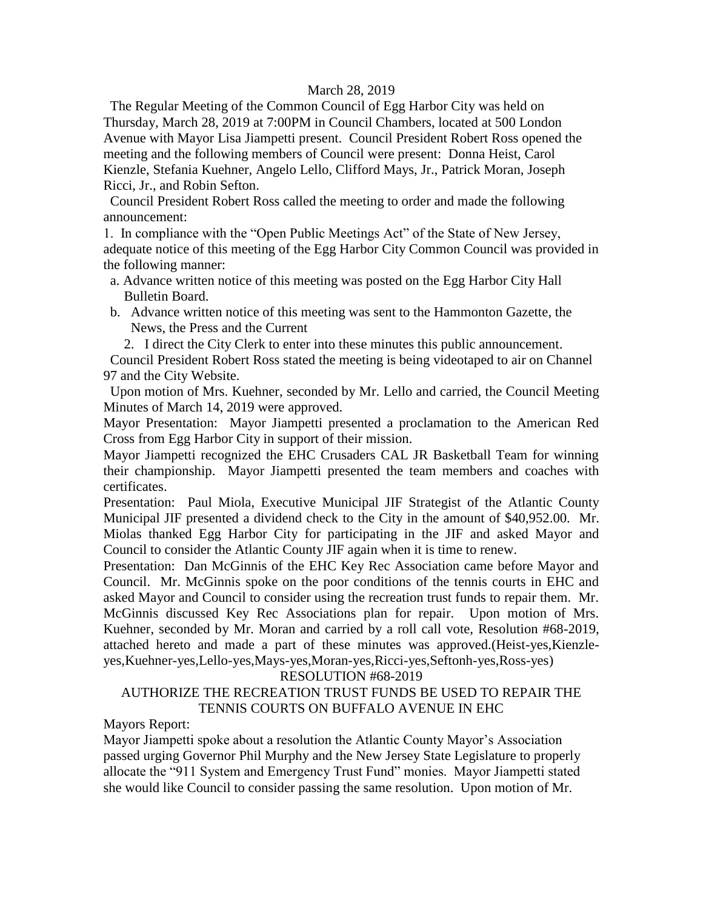#### March 28, 2019

 The Regular Meeting of the Common Council of Egg Harbor City was held on Thursday, March 28, 2019 at 7:00PM in Council Chambers, located at 500 London Avenue with Mayor Lisa Jiampetti present. Council President Robert Ross opened the meeting and the following members of Council were present: Donna Heist, Carol Kienzle, Stefania Kuehner, Angelo Lello, Clifford Mays, Jr., Patrick Moran, Joseph Ricci, Jr., and Robin Sefton.

 Council President Robert Ross called the meeting to order and made the following announcement:

1. In compliance with the "Open Public Meetings Act" of the State of New Jersey, adequate notice of this meeting of the Egg Harbor City Common Council was provided in the following manner:

- a. Advance written notice of this meeting was posted on the Egg Harbor City Hall Bulletin Board.
- b. Advance written notice of this meeting was sent to the Hammonton Gazette, the News, the Press and the Current

2. I direct the City Clerk to enter into these minutes this public announcement.

 Council President Robert Ross stated the meeting is being videotaped to air on Channel 97 and the City Website.

 Upon motion of Mrs. Kuehner, seconded by Mr. Lello and carried, the Council Meeting Minutes of March 14, 2019 were approved.

Mayor Presentation: Mayor Jiampetti presented a proclamation to the American Red Cross from Egg Harbor City in support of their mission.

Mayor Jiampetti recognized the EHC Crusaders CAL JR Basketball Team for winning their championship. Mayor Jiampetti presented the team members and coaches with certificates.

Presentation: Paul Miola, Executive Municipal JIF Strategist of the Atlantic County Municipal JIF presented a dividend check to the City in the amount of \$40,952.00. Mr. Miolas thanked Egg Harbor City for participating in the JIF and asked Mayor and Council to consider the Atlantic County JIF again when it is time to renew.

Presentation: Dan McGinnis of the EHC Key Rec Association came before Mayor and Council. Mr. McGinnis spoke on the poor conditions of the tennis courts in EHC and asked Mayor and Council to consider using the recreation trust funds to repair them. Mr. McGinnis discussed Key Rec Associations plan for repair. Upon motion of Mrs. Kuehner, seconded by Mr. Moran and carried by a roll call vote, Resolution #68-2019, attached hereto and made a part of these minutes was approved.(Heist-yes,Kienzleyes,Kuehner-yes,Lello-yes,Mays-yes,Moran-yes,Ricci-yes,Seftonh-yes,Ross-yes)

#### RESOLUTION #68-2019

# AUTHORIZE THE RECREATION TRUST FUNDS BE USED TO REPAIR THE TENNIS COURTS ON BUFFALO AVENUE IN EHC

Mayors Report:

Mayor Jiampetti spoke about a resolution the Atlantic County Mayor's Association passed urging Governor Phil Murphy and the New Jersey State Legislature to properly allocate the "911 System and Emergency Trust Fund" monies. Mayor Jiampetti stated she would like Council to consider passing the same resolution. Upon motion of Mr.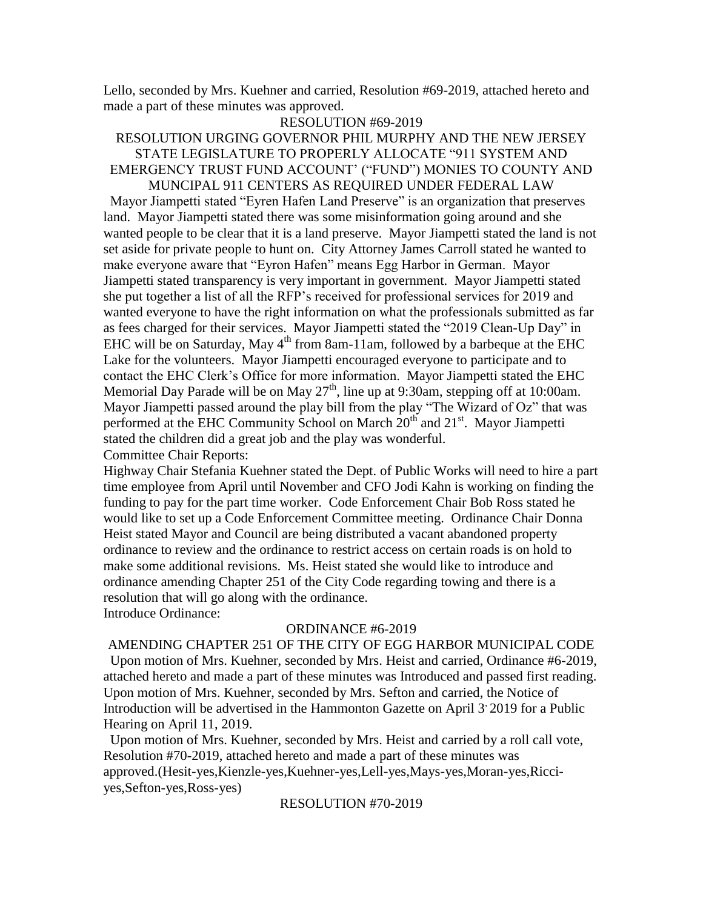Lello, seconded by Mrs. Kuehner and carried, Resolution #69-2019, attached hereto and made a part of these minutes was approved.

#### RESOLUTION #69-2019

## RESOLUTION URGING GOVERNOR PHIL MURPHY AND THE NEW JERSEY STATE LEGISLATURE TO PROPERLY ALLOCATE "911 SYSTEM AND EMERGENCY TRUST FUND ACCOUNT' ("FUND") MONIES TO COUNTY AND MUNCIPAL 911 CENTERS AS REQUIRED UNDER FEDERAL LAW

 Mayor Jiampetti stated "Eyren Hafen Land Preserve" is an organization that preserves land. Mayor Jiampetti stated there was some misinformation going around and she wanted people to be clear that it is a land preserve. Mayor Jiampetti stated the land is not set aside for private people to hunt on. City Attorney James Carroll stated he wanted to make everyone aware that "Eyron Hafen" means Egg Harbor in German. Mayor Jiampetti stated transparency is very important in government. Mayor Jiampetti stated she put together a list of all the RFP's received for professional services for 2019 and wanted everyone to have the right information on what the professionals submitted as far as fees charged for their services. Mayor Jiampetti stated the "2019 Clean-Up Day" in EHC will be on Saturday, May  $4<sup>th</sup>$  from 8am-11am, followed by a barbeque at the EHC Lake for the volunteers. Mayor Jiampetti encouraged everyone to participate and to contact the EHC Clerk's Office for more information. Mayor Jiampetti stated the EHC Memorial Day Parade will be on May  $27<sup>th</sup>$ , line up at 9:30am, stepping off at 10:00am. Mayor Jiampetti passed around the play bill from the play "The Wizard of Oz" that was performed at the EHC Community School on March 20<sup>th</sup> and 21<sup>st</sup>. Mayor Jiampetti stated the children did a great job and the play was wonderful. Committee Chair Reports:

Highway Chair Stefania Kuehner stated the Dept. of Public Works will need to hire a part time employee from April until November and CFO Jodi Kahn is working on finding the funding to pay for the part time worker. Code Enforcement Chair Bob Ross stated he would like to set up a Code Enforcement Committee meeting. Ordinance Chair Donna Heist stated Mayor and Council are being distributed a vacant abandoned property ordinance to review and the ordinance to restrict access on certain roads is on hold to make some additional revisions. Ms. Heist stated she would like to introduce and ordinance amending Chapter 251 of the City Code regarding towing and there is a resolution that will go along with the ordinance. Introduce Ordinance:

#### ORDINANCE #6-2019

AMENDING CHAPTER 251 OF THE CITY OF EGG HARBOR MUNICIPAL CODE Upon motion of Mrs. Kuehner, seconded by Mrs. Heist and carried, Ordinance #6-2019, attached hereto and made a part of these minutes was Introduced and passed first reading. Upon motion of Mrs. Kuehner, seconded by Mrs. Sefton and carried, the Notice of Introduction will be advertised in the Hammonton Gazette on April 3<sup>,</sup> 2019 for a Public Hearing on April 11, 2019.

 Upon motion of Mrs. Kuehner, seconded by Mrs. Heist and carried by a roll call vote, Resolution #70-2019, attached hereto and made a part of these minutes was approved.(Hesit-yes,Kienzle-yes,Kuehner-yes,Lell-yes,Mays-yes,Moran-yes,Ricciyes,Sefton-yes,Ross-yes)

RESOLUTION #70-2019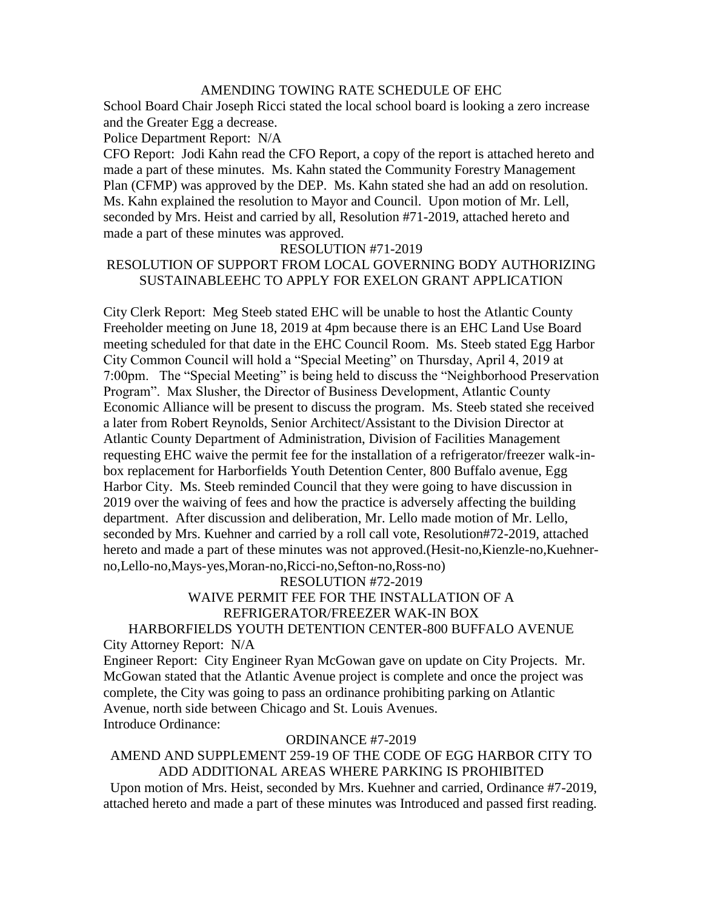## AMENDING TOWING RATE SCHEDULE OF EHC

School Board Chair Joseph Ricci stated the local school board is looking a zero increase and the Greater Egg a decrease.

Police Department Report: N/A

CFO Report: Jodi Kahn read the CFO Report, a copy of the report is attached hereto and made a part of these minutes. Ms. Kahn stated the Community Forestry Management Plan (CFMP) was approved by the DEP. Ms. Kahn stated she had an add on resolution. Ms. Kahn explained the resolution to Mayor and Council. Upon motion of Mr. Lell, seconded by Mrs. Heist and carried by all, Resolution #71-2019, attached hereto and made a part of these minutes was approved.

#### RESOLUTION #71-2019

## RESOLUTION OF SUPPORT FROM LOCAL GOVERNING BODY AUTHORIZING SUSTAINABLEEHC TO APPLY FOR EXELON GRANT APPLICATION

City Clerk Report: Meg Steeb stated EHC will be unable to host the Atlantic County Freeholder meeting on June 18, 2019 at 4pm because there is an EHC Land Use Board meeting scheduled for that date in the EHC Council Room. Ms. Steeb stated Egg Harbor City Common Council will hold a "Special Meeting" on Thursday, April 4, 2019 at 7:00pm. The "Special Meeting" is being held to discuss the "Neighborhood Preservation Program". Max Slusher, the Director of Business Development, Atlantic County Economic Alliance will be present to discuss the program. Ms. Steeb stated she received a later from Robert Reynolds, Senior Architect/Assistant to the Division Director at Atlantic County Department of Administration, Division of Facilities Management requesting EHC waive the permit fee for the installation of a refrigerator/freezer walk-inbox replacement for Harborfields Youth Detention Center, 800 Buffalo avenue, Egg Harbor City. Ms. Steeb reminded Council that they were going to have discussion in 2019 over the waiving of fees and how the practice is adversely affecting the building department. After discussion and deliberation, Mr. Lello made motion of Mr. Lello, seconded by Mrs. Kuehner and carried by a roll call vote, Resolution#72-2019, attached hereto and made a part of these minutes was not approved.(Hesit-no,Kienzle-no,Kuehnerno,Lello-no,Mays-yes,Moran-no,Ricci-no,Sefton-no,Ross-no)

## RESOLUTION #72-2019

# WAIVE PERMIT FEE FOR THE INSTALLATION OF A REFRIGERATOR/FREEZER WAK-IN BOX

# HARBORFIELDS YOUTH DETENTION CENTER-800 BUFFALO AVENUE City Attorney Report: N/A

Engineer Report: City Engineer Ryan McGowan gave on update on City Projects. Mr. McGowan stated that the Atlantic Avenue project is complete and once the project was complete, the City was going to pass an ordinance prohibiting parking on Atlantic Avenue, north side between Chicago and St. Louis Avenues. Introduce Ordinance:

#### ORDINANCE #7-2019

# AMEND AND SUPPLEMENT 259-19 OF THE CODE OF EGG HARBOR CITY TO ADD ADDITIONAL AREAS WHERE PARKING IS PROHIBITED

 Upon motion of Mrs. Heist, seconded by Mrs. Kuehner and carried, Ordinance #7-2019, attached hereto and made a part of these minutes was Introduced and passed first reading.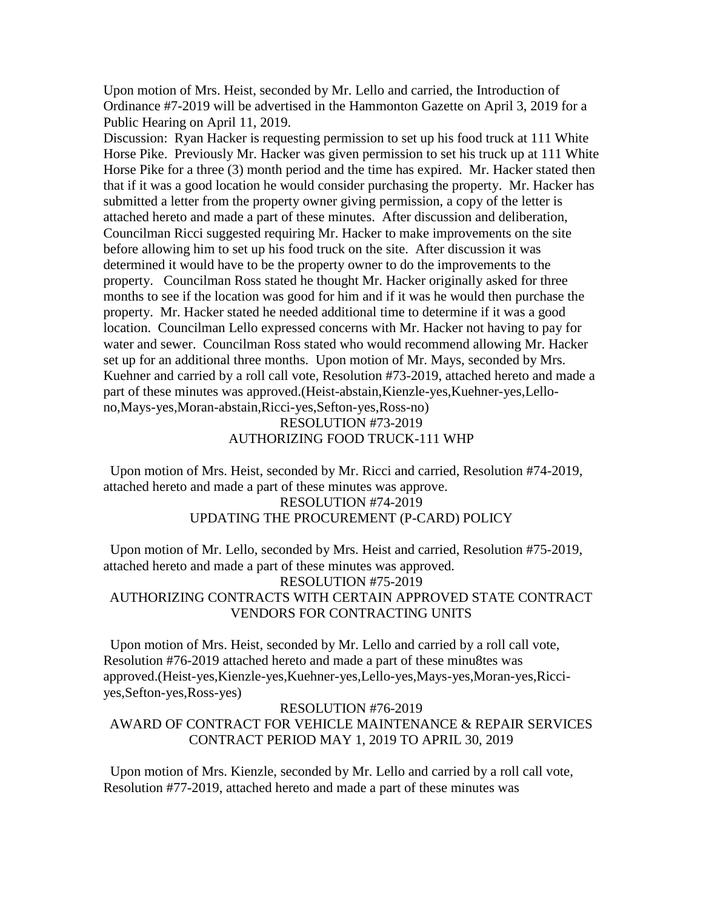Upon motion of Mrs. Heist, seconded by Mr. Lello and carried, the Introduction of Ordinance #7-2019 will be advertised in the Hammonton Gazette on April 3, 2019 for a Public Hearing on April 11, 2019.

Discussion: Ryan Hacker is requesting permission to set up his food truck at 111 White Horse Pike. Previously Mr. Hacker was given permission to set his truck up at 111 White Horse Pike for a three (3) month period and the time has expired. Mr. Hacker stated then that if it was a good location he would consider purchasing the property. Mr. Hacker has submitted a letter from the property owner giving permission, a copy of the letter is attached hereto and made a part of these minutes. After discussion and deliberation, Councilman Ricci suggested requiring Mr. Hacker to make improvements on the site before allowing him to set up his food truck on the site. After discussion it was determined it would have to be the property owner to do the improvements to the property. Councilman Ross stated he thought Mr. Hacker originally asked for three months to see if the location was good for him and if it was he would then purchase the property. Mr. Hacker stated he needed additional time to determine if it was a good location. Councilman Lello expressed concerns with Mr. Hacker not having to pay for water and sewer. Councilman Ross stated who would recommend allowing Mr. Hacker set up for an additional three months. Upon motion of Mr. Mays, seconded by Mrs. Kuehner and carried by a roll call vote, Resolution #73-2019, attached hereto and made a part of these minutes was approved.(Heist-abstain,Kienzle-yes,Kuehner-yes,Lellono,Mays-yes,Moran-abstain,Ricci-yes,Sefton-yes,Ross-no)

## RESOLUTION #73-2019 AUTHORIZING FOOD TRUCK-111 WHP

 Upon motion of Mrs. Heist, seconded by Mr. Ricci and carried, Resolution #74-2019, attached hereto and made a part of these minutes was approve.

# RESOLUTION #74-2019 UPDATING THE PROCUREMENT (P-CARD) POLICY

 Upon motion of Mr. Lello, seconded by Mrs. Heist and carried, Resolution #75-2019, attached hereto and made a part of these minutes was approved. RESOLUTION #75-2019 AUTHORIZING CONTRACTS WITH CERTAIN APPROVED STATE CONTRACT VENDORS FOR CONTRACTING UNITS

 Upon motion of Mrs. Heist, seconded by Mr. Lello and carried by a roll call vote, Resolution #76-2019 attached hereto and made a part of these minu8tes was approved.(Heist-yes,Kienzle-yes,Kuehner-yes,Lello-yes,Mays-yes,Moran-yes,Ricciyes,Sefton-yes,Ross-yes)

#### RESOLUTION #76-2019

# AWARD OF CONTRACT FOR VEHICLE MAINTENANCE & REPAIR SERVICES CONTRACT PERIOD MAY 1, 2019 TO APRIL 30, 2019

 Upon motion of Mrs. Kienzle, seconded by Mr. Lello and carried by a roll call vote, Resolution #77-2019, attached hereto and made a part of these minutes was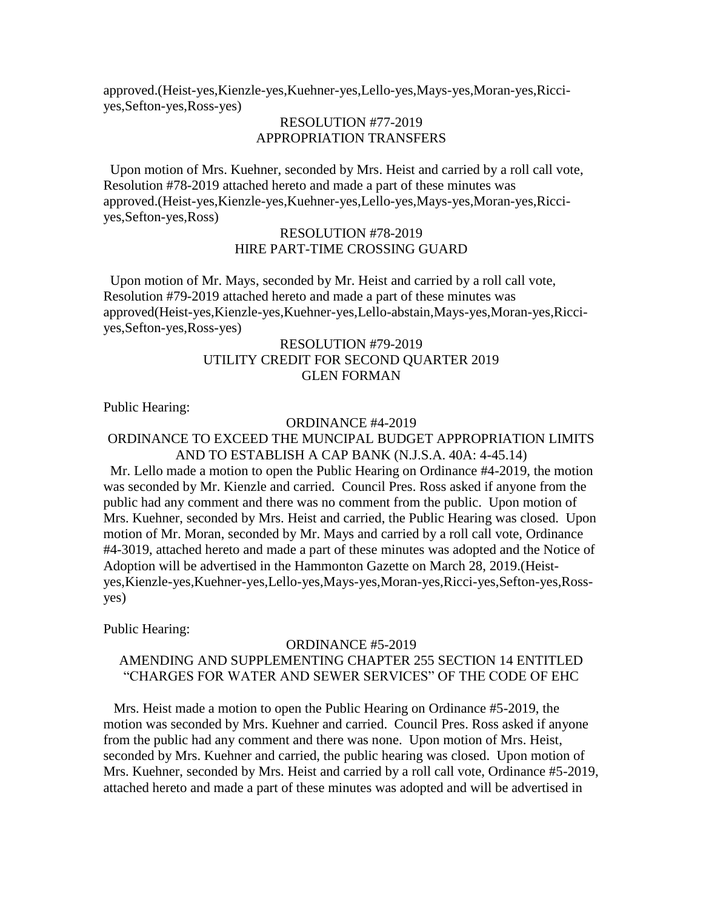approved.(Heist-yes,Kienzle-yes,Kuehner-yes,Lello-yes,Mays-yes,Moran-yes,Ricciyes,Sefton-yes,Ross-yes)

# RESOLUTION #77-2019 APPROPRIATION TRANSFERS

 Upon motion of Mrs. Kuehner, seconded by Mrs. Heist and carried by a roll call vote, Resolution #78-2019 attached hereto and made a part of these minutes was approved.(Heist-yes,Kienzle-yes,Kuehner-yes,Lello-yes,Mays-yes,Moran-yes,Ricciyes,Sefton-yes,Ross)

# RESOLUTION #78-2019 HIRE PART-TIME CROSSING GUARD

 Upon motion of Mr. Mays, seconded by Mr. Heist and carried by a roll call vote, Resolution #79-2019 attached hereto and made a part of these minutes was approved(Heist-yes,Kienzle-yes,Kuehner-yes,Lello-abstain,Mays-yes,Moran-yes,Ricciyes,Sefton-yes,Ross-yes)

# RESOLUTION #79-2019 UTILITY CREDIT FOR SECOND QUARTER 2019 GLEN FORMAN

Public Hearing:

## ORDINANCE #4-2019

### ORDINANCE TO EXCEED THE MUNCIPAL BUDGET APPROPRIATION LIMITS AND TO ESTABLISH A CAP BANK (N.J.S.A. 40A: 4-45.14)

 Mr. Lello made a motion to open the Public Hearing on Ordinance #4-2019, the motion was seconded by Mr. Kienzle and carried. Council Pres. Ross asked if anyone from the public had any comment and there was no comment from the public. Upon motion of Mrs. Kuehner, seconded by Mrs. Heist and carried, the Public Hearing was closed. Upon motion of Mr. Moran, seconded by Mr. Mays and carried by a roll call vote, Ordinance #4-3019, attached hereto and made a part of these minutes was adopted and the Notice of Adoption will be advertised in the Hammonton Gazette on March 28, 2019.(Heistyes,Kienzle-yes,Kuehner-yes,Lello-yes,Mays-yes,Moran-yes,Ricci-yes,Sefton-yes,Rossyes)

Public Hearing:

# ORDINANCE #5-2019 AMENDING AND SUPPLEMENTING CHAPTER 255 SECTION 14 ENTITLED "CHARGES FOR WATER AND SEWER SERVICES" OF THE CODE OF EHC

 Mrs. Heist made a motion to open the Public Hearing on Ordinance #5-2019, the motion was seconded by Mrs. Kuehner and carried. Council Pres. Ross asked if anyone from the public had any comment and there was none. Upon motion of Mrs. Heist, seconded by Mrs. Kuehner and carried, the public hearing was closed. Upon motion of Mrs. Kuehner, seconded by Mrs. Heist and carried by a roll call vote, Ordinance #5-2019, attached hereto and made a part of these minutes was adopted and will be advertised in